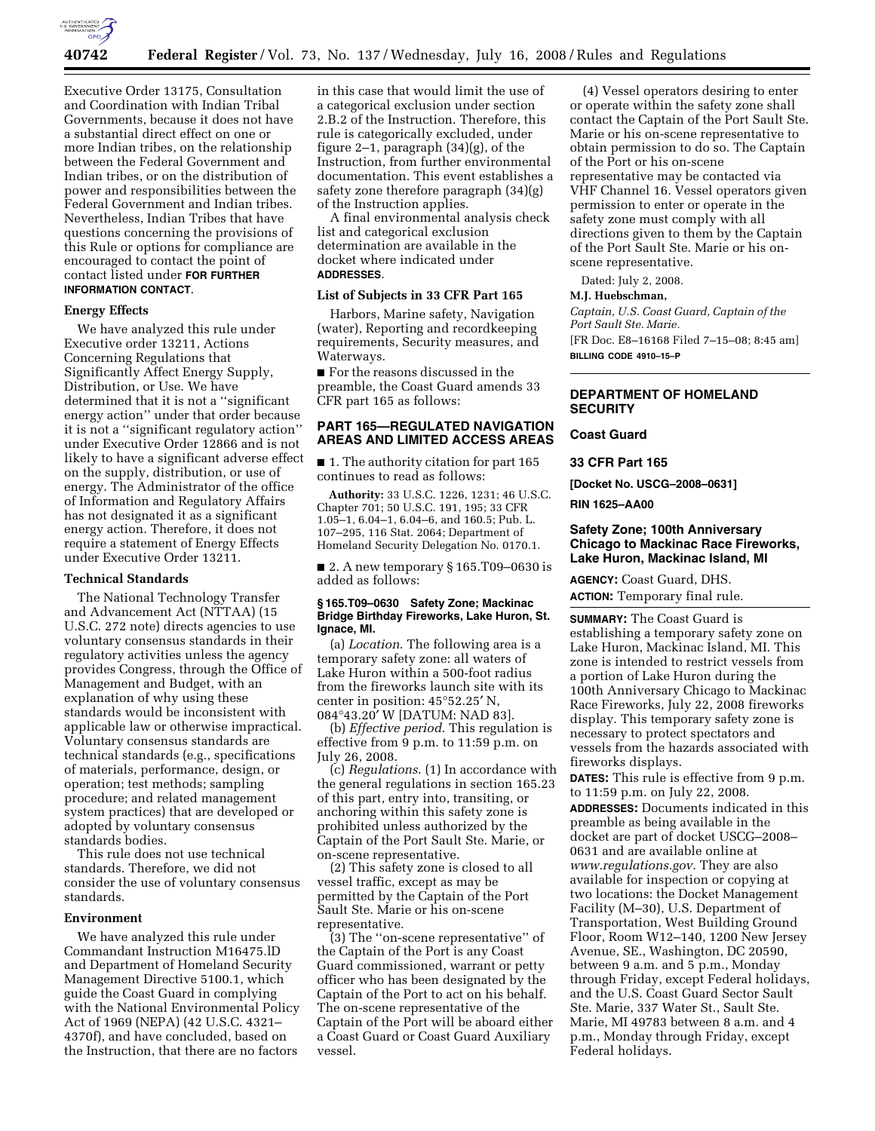

Executive Order 13175, Consultation and Coordination with Indian Tribal Governments, because it does not have a substantial direct effect on one or more Indian tribes, on the relationship between the Federal Government and Indian tribes, or on the distribution of power and responsibilities between the Federal Government and Indian tribes. Nevertheless, Indian Tribes that have questions concerning the provisions of this Rule or options for compliance are encouraged to contact the point of contact listed under **FOR FURTHER INFORMATION CONTACT**.

### **Energy Effects**

We have analyzed this rule under Executive order 13211, Actions Concerning Regulations that Significantly Affect Energy Supply, Distribution, or Use. We have determined that it is not a ''significant energy action'' under that order because it is not a ''significant regulatory action'' under Executive Order 12866 and is not likely to have a significant adverse effect on the supply, distribution, or use of energy. The Administrator of the office of Information and Regulatory Affairs has not designated it as a significant energy action. Therefore, it does not require a statement of Energy Effects under Executive Order 13211.

### **Technical Standards**

The National Technology Transfer and Advancement Act (NTTAA) (15 U.S.C. 272 note) directs agencies to use voluntary consensus standards in their regulatory activities unless the agency provides Congress, through the Office of Management and Budget, with an explanation of why using these standards would be inconsistent with applicable law or otherwise impractical. Voluntary consensus standards are technical standards (e.g., specifications of materials, performance, design, or operation; test methods; sampling procedure; and related management system practices) that are developed or adopted by voluntary consensus standards bodies.

This rule does not use technical standards. Therefore, we did not consider the use of voluntary consensus standards.

### **Environment**

We have analyzed this rule under Commandant Instruction M16475.lD and Department of Homeland Security Management Directive 5100.1, which guide the Coast Guard in complying with the National Environmental Policy Act of 1969 (NEPA) (42 U.S.C. 4321– 4370f), and have concluded, based on the Instruction, that there are no factors

in this case that would limit the use of a categorical exclusion under section 2.B.2 of the Instruction. Therefore, this rule is categorically excluded, under figure 2–1, paragraph (34)(g), of the Instruction, from further environmental documentation. This event establishes a safety zone therefore paragraph (34)(g) of the Instruction applies.

A final environmental analysis check list and categorical exclusion determination are available in the docket where indicated under **ADDRESSES**.

### **List of Subjects in 33 CFR Part 165**

Harbors, Marine safety, Navigation (water), Reporting and recordkeeping requirements, Security measures, and Waterways.

■ For the reasons discussed in the preamble, the Coast Guard amends 33 CFR part 165 as follows:

## **PART 165—REGULATED NAVIGATION AREAS AND LIMITED ACCESS AREAS**

■ 1. The authority citation for part 165 continues to read as follows:

**Authority:** 33 U.S.C. 1226, 1231; 46 U.S.C. Chapter 701; 50 U.S.C. 191, 195; 33 CFR 1.05–1, 6.04–1, 6.04–6, and 160.5; Pub. L. 107–295, 116 Stat. 2064; Department of Homeland Security Delegation No. 0170.1.

■ 2. A new temporary § 165.T09–0630 is added as follows:

### **§ 165.T09–0630 Safety Zone; Mackinac Bridge Birthday Fireworks, Lake Huron, St. Ignace, MI.**

(a) *Location*. The following area is a temporary safety zone: all waters of Lake Huron within a 500-foot radius from the fireworks launch site with its center in position: 45°52.25′ N, 084°43.20′ W [DATUM: NAD 83].

(b) *Effective period*. This regulation is effective from 9 p.m. to 11:59 p.m. on July 26, 2008.

(c) *Regulations*. (1) In accordance with the general regulations in section 165.23 of this part, entry into, transiting, or anchoring within this safety zone is prohibited unless authorized by the Captain of the Port Sault Ste. Marie, or on-scene representative.

(2) This safety zone is closed to all vessel traffic, except as may be permitted by the Captain of the Port Sault Ste. Marie or his on-scene representative.

(3) The ''on-scene representative'' of the Captain of the Port is any Coast Guard commissioned, warrant or petty officer who has been designated by the Captain of the Port to act on his behalf. The on-scene representative of the Captain of the Port will be aboard either a Coast Guard or Coast Guard Auxiliary vessel.

(4) Vessel operators desiring to enter or operate within the safety zone shall contact the Captain of the Port Sault Ste. Marie or his on-scene representative to obtain permission to do so. The Captain of the Port or his on-scene representative may be contacted via VHF Channel 16. Vessel operators given permission to enter or operate in the safety zone must comply with all directions given to them by the Captain of the Port Sault Ste. Marie or his onscene representative.

Dated: July 2, 2008.

### **M.J. Huebschman,**

*Captain, U.S. Coast Guard, Captain of the Port Sault Ste. Marie.*  [FR Doc. E8–16168 Filed 7–15–08; 8:45 am] **BILLING CODE 4910–15–P** 

### **DEPARTMENT OF HOMELAND SECURITY**

# **Coast Guard**

**33 CFR Part 165** 

**[Docket No. USCG–2008–0631]** 

**RIN 1625–AA00** 

## **Safety Zone; 100th Anniversary Chicago to Mackinac Race Fireworks, Lake Huron, Mackinac Island, MI**

**AGENCY:** Coast Guard, DHS. **ACTION:** Temporary final rule.

**SUMMARY:** The Coast Guard is establishing a temporary safety zone on Lake Huron, Mackinac Island, MI. This zone is intended to restrict vessels from a portion of Lake Huron during the 100th Anniversary Chicago to Mackinac Race Fireworks, July 22, 2008 fireworks display. This temporary safety zone is necessary to protect spectators and vessels from the hazards associated with fireworks displays.

**DATES:** This rule is effective from 9 p.m. to 11:59 p.m. on July 22, 2008.

**ADDRESSES:** Documents indicated in this preamble as being available in the docket are part of docket USCG–2008– 0631 and are available online at *www.regulations.gov*. They are also available for inspection or copying at two locations: the Docket Management Facility (M–30), U.S. Department of Transportation, West Building Ground Floor, Room W12–140, 1200 New Jersey Avenue, SE., Washington, DC 20590, between 9 a.m. and 5 p.m., Monday through Friday, except Federal holidays, and the U.S. Coast Guard Sector Sault Ste. Marie, 337 Water St., Sault Ste. Marie, MI 49783 between 8 a.m. and 4 p.m., Monday through Friday, except Federal holidays.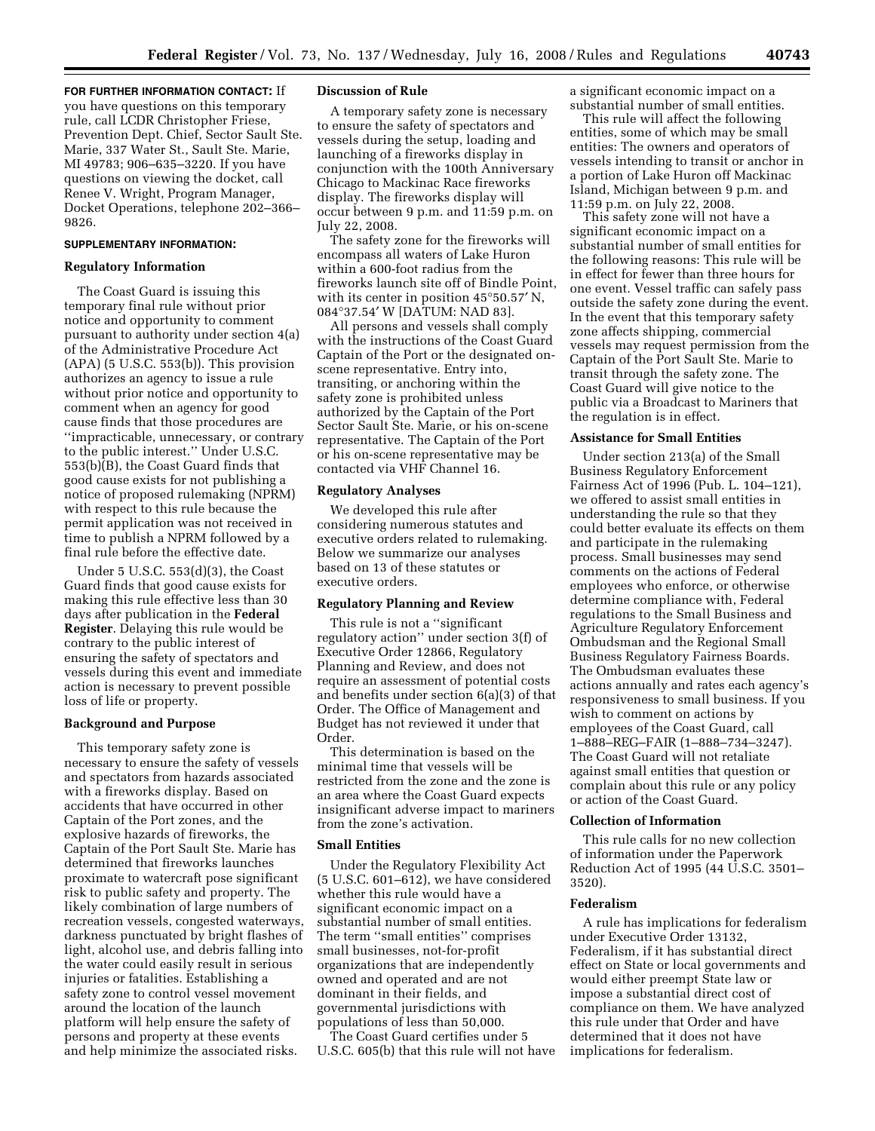#### **FOR FURTHER INFORMATION CONTACT:** If

you have questions on this temporary rule, call LCDR Christopher Friese, Prevention Dept. Chief, Sector Sault Ste. Marie, 337 Water St., Sault Ste. Marie, MI 49783; 906–635–3220. If you have questions on viewing the docket, call Renee V. Wright, Program Manager, Docket Operations, telephone 202–366– 9826.

## **SUPPLEMENTARY INFORMATION:**

## **Regulatory Information**

The Coast Guard is issuing this temporary final rule without prior notice and opportunity to comment pursuant to authority under section 4(a) of the Administrative Procedure Act  $(APA)$  (5 U.S.C. 553(b)). This provision authorizes an agency to issue a rule without prior notice and opportunity to comment when an agency for good cause finds that those procedures are ''impracticable, unnecessary, or contrary to the public interest.'' Under U.S.C. 553(b)(B), the Coast Guard finds that good cause exists for not publishing a notice of proposed rulemaking (NPRM) with respect to this rule because the permit application was not received in time to publish a NPRM followed by a final rule before the effective date.

Under 5 U.S.C. 553(d)(3), the Coast Guard finds that good cause exists for making this rule effective less than 30 days after publication in the **Federal Register**. Delaying this rule would be contrary to the public interest of ensuring the safety of spectators and vessels during this event and immediate action is necessary to prevent possible loss of life or property.

### **Background and Purpose**

This temporary safety zone is necessary to ensure the safety of vessels and spectators from hazards associated with a fireworks display. Based on accidents that have occurred in other Captain of the Port zones, and the explosive hazards of fireworks, the Captain of the Port Sault Ste. Marie has determined that fireworks launches proximate to watercraft pose significant risk to public safety and property. The likely combination of large numbers of recreation vessels, congested waterways, darkness punctuated by bright flashes of light, alcohol use, and debris falling into the water could easily result in serious injuries or fatalities. Establishing a safety zone to control vessel movement around the location of the launch platform will help ensure the safety of persons and property at these events and help minimize the associated risks.

### **Discussion of Rule**

A temporary safety zone is necessary to ensure the safety of spectators and vessels during the setup, loading and launching of a fireworks display in conjunction with the 100th Anniversary Chicago to Mackinac Race fireworks display. The fireworks display will occur between 9 p.m. and 11:59 p.m. on July 22, 2008.

The safety zone for the fireworks will encompass all waters of Lake Huron within a 600-foot radius from the fireworks launch site off of Bindle Point, with its center in position 45°50.57′ N, 084°37.54′ W [DATUM: NAD 83].

All persons and vessels shall comply with the instructions of the Coast Guard Captain of the Port or the designated onscene representative. Entry into, transiting, or anchoring within the safety zone is prohibited unless authorized by the Captain of the Port Sector Sault Ste. Marie, or his on-scene representative. The Captain of the Port or his on-scene representative may be contacted via VHF Channel 16.

#### **Regulatory Analyses**

We developed this rule after considering numerous statutes and executive orders related to rulemaking. Below we summarize our analyses based on 13 of these statutes or executive orders.

## **Regulatory Planning and Review**

This rule is not a ''significant regulatory action'' under section 3(f) of Executive Order 12866, Regulatory Planning and Review, and does not require an assessment of potential costs and benefits under section 6(a)(3) of that Order. The Office of Management and Budget has not reviewed it under that Order.

This determination is based on the minimal time that vessels will be restricted from the zone and the zone is an area where the Coast Guard expects insignificant adverse impact to mariners from the zone's activation.

### **Small Entities**

Under the Regulatory Flexibility Act (5 U.S.C. 601–612), we have considered whether this rule would have a significant economic impact on a substantial number of small entities. The term ''small entities'' comprises small businesses, not-for-profit organizations that are independently owned and operated and are not dominant in their fields, and governmental jurisdictions with populations of less than 50,000.

The Coast Guard certifies under 5 U.S.C. 605(b) that this rule will not have a significant economic impact on a substantial number of small entities.

This rule will affect the following entities, some of which may be small entities: The owners and operators of vessels intending to transit or anchor in a portion of Lake Huron off Mackinac Island, Michigan between 9 p.m. and 11:59 p.m. on July 22, 2008.

This safety zone will not have a significant economic impact on a substantial number of small entities for the following reasons: This rule will be in effect for fewer than three hours for one event. Vessel traffic can safely pass outside the safety zone during the event. In the event that this temporary safety zone affects shipping, commercial vessels may request permission from the Captain of the Port Sault Ste. Marie to transit through the safety zone. The Coast Guard will give notice to the public via a Broadcast to Mariners that the regulation is in effect.

### **Assistance for Small Entities**

Under section 213(a) of the Small Business Regulatory Enforcement Fairness Act of 1996 (Pub. L. 104–121), we offered to assist small entities in understanding the rule so that they could better evaluate its effects on them and participate in the rulemaking process. Small businesses may send comments on the actions of Federal employees who enforce, or otherwise determine compliance with, Federal regulations to the Small Business and Agriculture Regulatory Enforcement Ombudsman and the Regional Small Business Regulatory Fairness Boards. The Ombudsman evaluates these actions annually and rates each agency's responsiveness to small business. If you wish to comment on actions by employees of the Coast Guard, call 1–888–REG–FAIR (1–888–734–3247). The Coast Guard will not retaliate against small entities that question or complain about this rule or any policy or action of the Coast Guard.

## **Collection of Information**

This rule calls for no new collection of information under the Paperwork Reduction Act of 1995 (44 U.S.C. 3501– 3520).

### **Federalism**

A rule has implications for federalism under Executive Order 13132, Federalism, if it has substantial direct effect on State or local governments and would either preempt State law or impose a substantial direct cost of compliance on them. We have analyzed this rule under that Order and have determined that it does not have implications for federalism.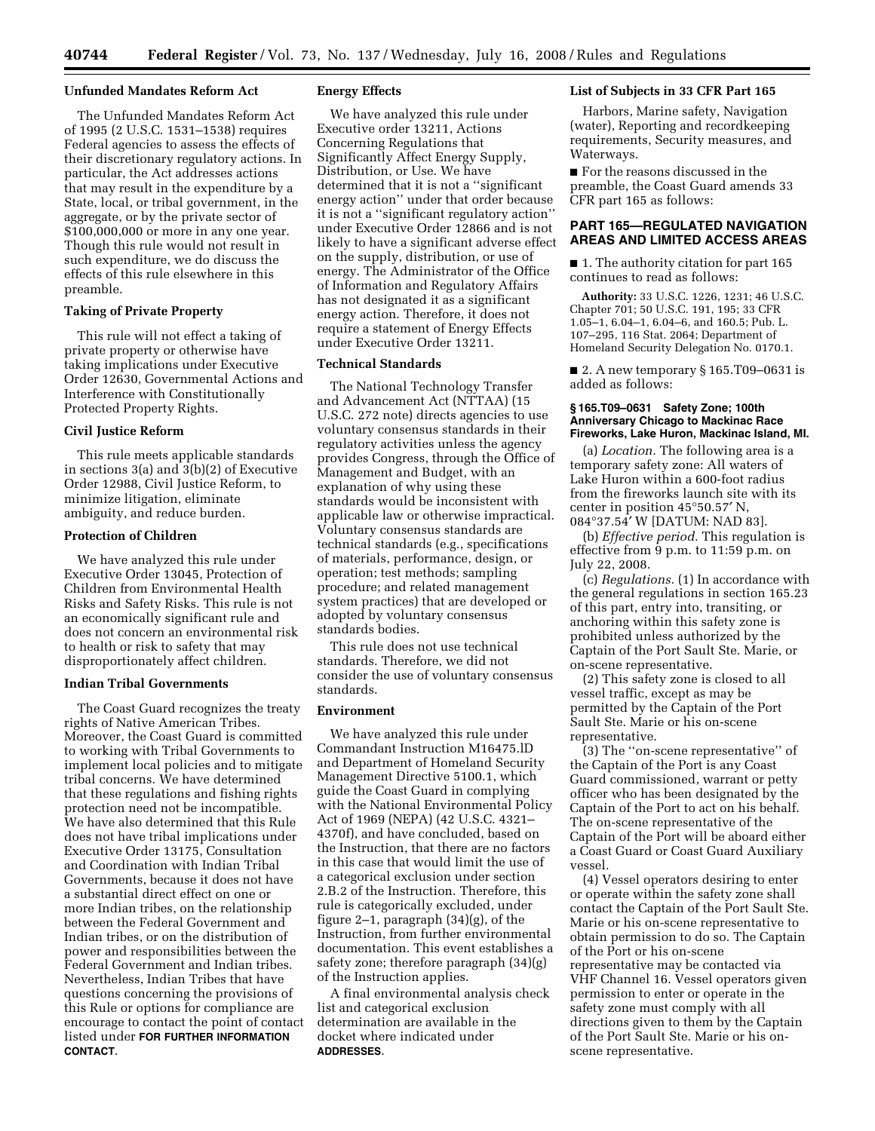### **Unfunded Mandates Reform Act**

The Unfunded Mandates Reform Act of 1995 (2 U.S.C. 1531–1538) requires Federal agencies to assess the effects of their discretionary regulatory actions. In particular, the Act addresses actions that may result in the expenditure by a State, local, or tribal government, in the aggregate, or by the private sector of \$100,000,000 or more in any one year. Though this rule would not result in such expenditure, we do discuss the effects of this rule elsewhere in this preamble.

## **Taking of Private Property**

This rule will not effect a taking of private property or otherwise have taking implications under Executive Order 12630, Governmental Actions and Interference with Constitutionally Protected Property Rights.

# **Civil Justice Reform**

This rule meets applicable standards in sections 3(a) and 3(b)(2) of Executive Order 12988, Civil Justice Reform, to minimize litigation, eliminate ambiguity, and reduce burden.

### **Protection of Children**

We have analyzed this rule under Executive Order 13045, Protection of Children from Environmental Health Risks and Safety Risks. This rule is not an economically significant rule and does not concern an environmental risk to health or risk to safety that may disproportionately affect children.

# **Indian Tribal Governments**

The Coast Guard recognizes the treaty rights of Native American Tribes. Moreover, the Coast Guard is committed to working with Tribal Governments to implement local policies and to mitigate tribal concerns. We have determined that these regulations and fishing rights protection need not be incompatible. We have also determined that this Rule does not have tribal implications under Executive Order 13175, Consultation and Coordination with Indian Tribal Governments, because it does not have a substantial direct effect on one or more Indian tribes, on the relationship between the Federal Government and Indian tribes, or on the distribution of power and responsibilities between the Federal Government and Indian tribes. Nevertheless, Indian Tribes that have questions concerning the provisions of this Rule or options for compliance are encourage to contact the point of contact listed under **FOR FURTHER INFORMATION CONTACT**.

### **Energy Effects**

We have analyzed this rule under Executive order 13211, Actions Concerning Regulations that Significantly Affect Energy Supply, Distribution, or Use. We have determined that it is not a ''significant energy action'' under that order because it is not a ''significant regulatory action'' under Executive Order 12866 and is not likely to have a significant adverse effect on the supply, distribution, or use of energy. The Administrator of the Office of Information and Regulatory Affairs has not designated it as a significant energy action. Therefore, it does not require a statement of Energy Effects under Executive Order 13211.

#### **Technical Standards**

The National Technology Transfer and Advancement Act (NTTAA) (15 U.S.C. 272 note) directs agencies to use voluntary consensus standards in their regulatory activities unless the agency provides Congress, through the Office of Management and Budget, with an explanation of why using these standards would be inconsistent with applicable law or otherwise impractical. Voluntary consensus standards are technical standards (e.g., specifications of materials, performance, design, or operation; test methods; sampling procedure; and related management system practices) that are developed or adopted by voluntary consensus standards bodies.

This rule does not use technical standards. Therefore, we did not consider the use of voluntary consensus standards.

#### **Environment**

We have analyzed this rule under Commandant Instruction M16475.lD and Department of Homeland Security Management Directive 5100.1, which guide the Coast Guard in complying with the National Environmental Policy Act of 1969 (NEPA) (42 U.S.C. 4321– 4370f), and have concluded, based on the Instruction, that there are no factors in this case that would limit the use of a categorical exclusion under section 2.B.2 of the Instruction. Therefore, this rule is categorically excluded, under figure 2–1, paragraph (34)(g), of the Instruction, from further environmental documentation. This event establishes a safety zone; therefore paragraph (34)(g) of the Instruction applies.

A final environmental analysis check list and categorical exclusion determination are available in the docket where indicated under **ADDRESSES**.

### **List of Subjects in 33 CFR Part 165**

Harbors, Marine safety, Navigation (water), Reporting and recordkeeping requirements, Security measures, and Waterways.

■ For the reasons discussed in the preamble, the Coast Guard amends 33 CFR part 165 as follows:

## **PART 165—REGULATED NAVIGATION AREAS AND LIMITED ACCESS AREAS**

■ 1. The authority citation for part 165 continues to read as follows:

**Authority:** 33 U.S.C. 1226, 1231; 46 U.S.C. Chapter 701; 50 U.S.C. 191, 195; 33 CFR 1.05–1, 6.04–1, 6.04–6, and 160.5; Pub. L. 107–295, 116 Stat. 2064; Department of Homeland Security Delegation No. 0170.1.

■ 2. A new temporary § 165.T09–0631 is added as follows:

## **§ 165.T09–0631 Safety Zone; 100th Anniversary Chicago to Mackinac Race Fireworks, Lake Huron, Mackinac Island, MI.**

(a) *Location.* The following area is a temporary safety zone: All waters of Lake Huron within a 600-foot radius from the fireworks launch site with its center in position 45°50.57′ N, 084°37.54′ W [DATUM: NAD 83].

(b) *Effective period.* This regulation is effective from 9 p.m. to 11:59 p.m. on July 22, 2008.

(c) *Regulations.* (1) In accordance with the general regulations in section 165.23 of this part, entry into, transiting, or anchoring within this safety zone is prohibited unless authorized by the Captain of the Port Sault Ste. Marie, or on-scene representative.

(2) This safety zone is closed to all vessel traffic, except as may be permitted by the Captain of the Port Sault Ste. Marie or his on-scene representative.

(3) The ''on-scene representative'' of the Captain of the Port is any Coast Guard commissioned, warrant or petty officer who has been designated by the Captain of the Port to act on his behalf. The on-scene representative of the Captain of the Port will be aboard either a Coast Guard or Coast Guard Auxiliary vessel.

(4) Vessel operators desiring to enter or operate within the safety zone shall contact the Captain of the Port Sault Ste. Marie or his on-scene representative to obtain permission to do so. The Captain of the Port or his on-scene representative may be contacted via VHF Channel 16. Vessel operators given permission to enter or operate in the safety zone must comply with all directions given to them by the Captain of the Port Sault Ste. Marie or his onscene representative.